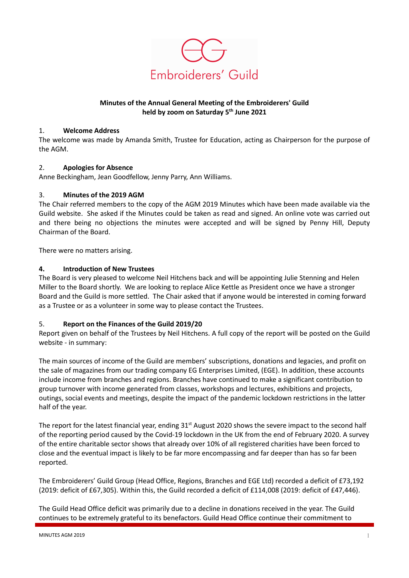

# Minutes of the Annual General Meeting of the Embroiderers' Guild held by zoom on Saturday 5<sup>th</sup> June 2021

#### 1. Welcome Address

The welcome was made by Amanda Smith, Trustee for Education, acting as Chairperson for the purpose of the AGM.

## 2. Apologies for Absence

Anne Beckingham, Jean Goodfellow, Jenny Parry, Ann Williams.

### 3. Minutes of the 2019 AGM

The Chair referred members to the copy of the AGM 2019 Minutes which have been made available via the Guild website. She asked if the Minutes could be taken as read and signed. An online vote was carried out and there being no objections the minutes were accepted and will be signed by Penny Hill, Deputy Chairman of the Board.

There were no matters arising.

### 4. Introduction of New Trustees

The Board is very pleased to welcome Neil Hitchens back and will be appointing Julie Stenning and Helen Miller to the Board shortly. We are looking to replace Alice Kettle as President once we have a stronger Board and the Guild is more settled. The Chair asked that if anyone would be interested in coming forward as a Trustee or as a volunteer in some way to please contact the Trustees.

## 5. Report on the Finances of the Guild 2019/20

Report given on behalf of the Trustees by Neil Hitchens. A full copy of the report will be posted on the Guild website - in summary:

The main sources of income of the Guild are members' subscriptions, donations and legacies, and profit on the sale of magazines from our trading company EG Enterprises Limited, (EGE). In addition, these accounts include income from branches and regions. Branches have continued to make a significant contribution to group turnover with income generated from classes, workshops and lectures, exhibitions and projects, outings, social events and meetings, despite the impact of the pandemic lockdown restrictions in the latter half of the year.

The report for the latest financial year, ending 31<sup>st</sup> August 2020 shows the severe impact to the second half of the reporting period caused by the Covid-19 lockdown in the UK from the end of February 2020. A survey of the entire charitable sector shows that already over 10% of all registered charities have been forced to close and the eventual impact is likely to be far more encompassing and far deeper than has so far been reported.

The Embroiderers' Guild Group (Head Office, Regions, Branches and EGE Ltd) recorded a deficit of £73,192 (2019: deficit of £67,305). Within this, the Guild recorded a deficit of £114,008 (2019: deficit of £47,446).

The Guild Head Office deficit was primarily due to a decline in donations received in the year. The Guild continues to be extremely grateful to its benefactors. Guild Head Office continue their commitment to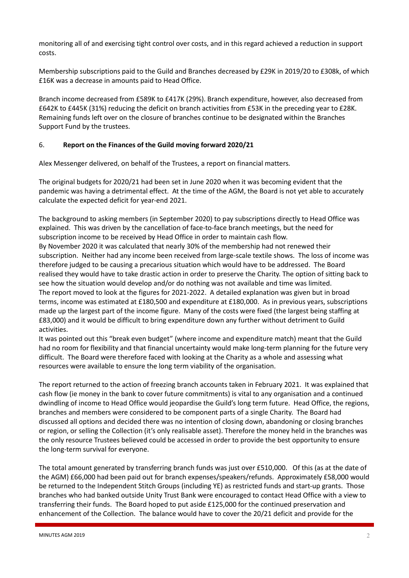monitoring all of and exercising tight control over costs, and in this regard achieved a reduction in support costs.

Membership subscriptions paid to the Guild and Branches decreased by £29K in 2019/20 to £308k, of which £16K was a decrease in amounts paid to Head Office.

Branch income decreased from £589K to £417K (29%). Branch expenditure, however, also decreased from £642K to £445K (31%) reducing the deficit on branch activities from £53K in the preceding year to £28K. Remaining funds left over on the closure of branches continue to be designated within the Branches Support Fund by the trustees.

### 6. Report on the Finances of the Guild moving forward 2020/21

Alex Messenger delivered, on behalf of the Trustees, a report on financial matters.

The original budgets for 2020/21 had been set in June 2020 when it was becoming evident that the pandemic was having a detrimental effect. At the time of the AGM, the Board is not yet able to accurately calculate the expected deficit for year-end 2021.

The background to asking members (in September 2020) to pay subscriptions directly to Head Office was explained. This was driven by the cancellation of face-to-face branch meetings, but the need for subscription income to be received by Head Office in order to maintain cash flow. By November 2020 it was calculated that nearly 30% of the membership had not renewed their subscription. Neither had any income been received from large-scale textile shows. The loss of income was therefore judged to be causing a precarious situation which would have to be addressed. The Board realised they would have to take drastic action in order to preserve the Charity. The option of sitting back to see how the situation would develop and/or do nothing was not available and time was limited. The report moved to look at the figures for 2021-2022. A detailed explanation was given but in broad terms, income was estimated at £180,500 and expenditure at £180,000. As in previous years, subscriptions made up the largest part of the income figure. Many of the costs were fixed (the largest being staffing at £83,000) and it would be difficult to bring expenditure down any further without detriment to Guild activities.

It was pointed out this "break even budget" (where income and expenditure match) meant that the Guild had no room for flexibility and that financial uncertainty would make long-term planning for the future very difficult. The Board were therefore faced with looking at the Charity as a whole and assessing what resources were available to ensure the long term viability of the organisation.

The report returned to the action of freezing branch accounts taken in February 2021. It was explained that cash flow (ie money in the bank to cover future commitments) is vital to any organisation and a continued dwindling of income to Head Office would jeopardise the Guild's long term future. Head Office, the regions, branches and members were considered to be component parts of a single Charity. The Board had discussed all options and decided there was no intention of closing down, abandoning or closing branches or region, or selling the Collection (it's only realisable asset). Therefore the money held in the branches was the only resource Trustees believed could be accessed in order to provide the best opportunity to ensure the long-term survival for everyone.

The total amount generated by transferring branch funds was just over £510,000. Of this (as at the date of the AGM) £66,000 had been paid out for branch expenses/speakers/refunds. Approximately £58,000 would be returned to the Independent Stitch Groups (including YE) as restricted funds and start-up grants. Those branches who had banked outside Unity Trust Bank were encouraged to contact Head Office with a view to transferring their funds. The Board hoped to put aside £125,000 for the continued preservation and enhancement of the Collection. The balance would have to cover the 20/21 deficit and provide for the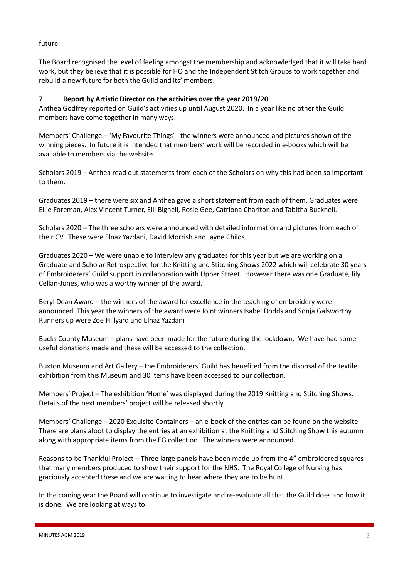future.

The Board recognised the level of feeling amongst the membership and acknowledged that it will take hard work, but they believe that it is possible for HO and the Independent Stitch Groups to work together and rebuild a new future for both the Guild and its' members.

## 7. Report by Artistic Director on the activities over the year 2019/20

Anthea Godfrey reported on Guild's activities up until August 2020. In a year like no other the Guild members have come together in many ways.

Members' Challenge – 'My Favourite Things' - the winners were announced and pictures shown of the winning pieces. In future it is intended that members' work will be recorded in e-books which will be available to members via the website.

Scholars 2019 – Anthea read out statements from each of the Scholars on why this had been so important to them.

Graduates 2019 – there were six and Anthea gave a short statement from each of them. Graduates were Ellie Foreman, Alex Vincent Turner, Elli Bignell, Rosie Gee, Catriona Charlton and Tabitha Bucknell.

Scholars 2020 – The three scholars were announced with detailed information and pictures from each of their CV. These were Elnaz Yazdani, David Morrish and Jayne Childs.

Graduates 2020 – We were unable to interview any graduates for this year but we are working on a Graduate and Scholar Retrospective for the Knitting and Stitching Shows 2022 which will celebrate 30 years of Embroiderers' Guild support in collaboration with Upper Street. However there was one Graduate, lily Cellan-Jones, who was a worthy winner of the award.

Beryl Dean Award – the winners of the award for excellence in the teaching of embroidery were announced. This year the winners of the award were Joint winners Isabel Dodds and Sonja Galsworthy. Runners up were Zoe Hillyard and Elnaz Yazdani

Bucks County Museum – plans have been made for the future during the lockdown. We have had some useful donations made and these will be accessed to the collection.

Buxton Museum and Art Gallery – the Embroiderers' Guild has benefited from the disposal of the textile exhibition from this Museum and 30 items have been accessed to our collection.

Members' Project – The exhibition 'Home' was displayed during the 2019 Knitting and Stitching Shows. Details of the next members' project will be released shortly.

Members' Challenge – 2020 Exquisite Containers – an e-book of the entries can be found on the website. There are plans afoot to display the entries at an exhibition at the Knitting and Stitching Show this autumn along with appropriate items from the EG collection. The winners were announced.

Reasons to be Thankful Project – Three large panels have been made up from the 4" embroidered squares that many members produced to show their support for the NHS. The Royal College of Nursing has graciously accepted these and we are waiting to hear where they are to be hunt.

In the coming year the Board will continue to investigate and re-evaluate all that the Guild does and how it is done. We are looking at ways to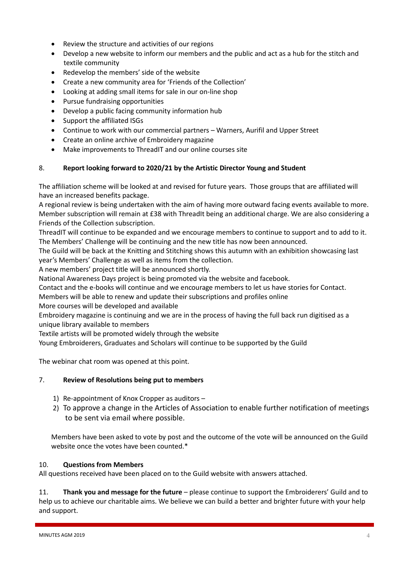- Review the structure and activities of our regions
- Develop a new website to inform our members and the public and act as a hub for the stitch and textile community
- Redevelop the members' side of the website
- Create a new community area for 'Friends of the Collection'
- Looking at adding small items for sale in our on-line shop
- Pursue fundraising opportunities
- Develop a public facing community information hub
- Support the affiliated ISGs
- Continue to work with our commercial partners Warners, Aurifil and Upper Street
- Create an online archive of Embroidery magazine
- Make improvements to ThreadIT and our online courses site

# 8. Report looking forward to 2020/21 by the Artistic Director Young and Student

The affiliation scheme will be looked at and revised for future years. Those groups that are affiliated will have an increased benefits package.

A regional review is being undertaken with the aim of having more outward facing events available to more. Member subscription will remain at £38 with ThreadIt being an additional charge. We are also considering a Friends of the Collection subscription.

ThreadIT will continue to be expanded and we encourage members to continue to support and to add to it. The Members' Challenge will be continuing and the new title has now been announced.

The Guild will be back at the Knitting and Stitching shows this autumn with an exhibition showcasing last year's Members' Challenge as well as items from the collection.

A new members' project title will be announced shortly.

National Awareness Days project is being promoted via the website and facebook.

Contact and the e-books will continue and we encourage members to let us have stories for Contact.

Members will be able to renew and update their subscriptions and profiles online

More courses will be developed and available

Embroidery magazine is continuing and we are in the process of having the full back run digitised as a unique library available to members

Textile artists will be promoted widely through the website

Young Embroiderers, Graduates and Scholars will continue to be supported by the Guild

The webinar chat room was opened at this point.

## 7. Review of Resolutions being put to members

- 1) Re-appointment of Knox Cropper as auditors –
- 2) To approve a change in the Articles of Association to enable further notification of meetings to be sent via email where possible.

Members have been asked to vote by post and the outcome of the vote will be announced on the Guild website once the votes have been counted.\*

## 10. Questions from Members

All questions received have been placed on to the Guild website with answers attached.

11. Thank you and message for the future – please continue to support the Embroiderers' Guild and to help us to achieve our charitable aims. We believe we can build a better and brighter future with your help and support.